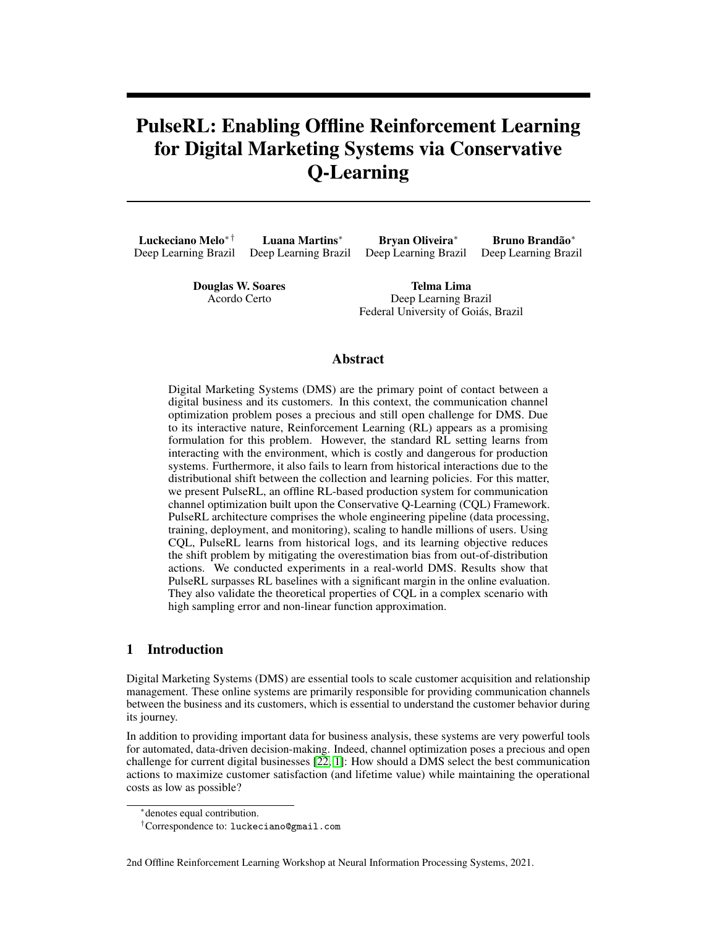# PulseRL: Enabling Offline Reinforcement Learning for Digital Marketing Systems via Conservative Q-Learning

Luckeciano Melo∗ † Deep Learning Brazil Luana Martins<sup>∗</sup> Deep Learning Brazil Bryan Oliveira<sup>∗</sup> Deep Learning Brazil Bruno Brandão<sup>∗</sup> Deep Learning Brazil

> Douglas W. Soares Acordo Certo

Telma Lima Deep Learning Brazil Federal University of Goiás, Brazil

### Abstract

Digital Marketing Systems (DMS) are the primary point of contact between a digital business and its customers. In this context, the communication channel optimization problem poses a precious and still open challenge for DMS. Due to its interactive nature, Reinforcement Learning (RL) appears as a promising formulation for this problem. However, the standard RL setting learns from interacting with the environment, which is costly and dangerous for production systems. Furthermore, it also fails to learn from historical interactions due to the distributional shift between the collection and learning policies. For this matter, we present PulseRL, an offline RL-based production system for communication channel optimization built upon the Conservative Q-Learning (CQL) Framework. PulseRL architecture comprises the whole engineering pipeline (data processing, training, deployment, and monitoring), scaling to handle millions of users. Using CQL, PulseRL learns from historical logs, and its learning objective reduces the shift problem by mitigating the overestimation bias from out-of-distribution actions. We conducted experiments in a real-world DMS. Results show that PulseRL surpasses RL baselines with a significant margin in the online evaluation. They also validate the theoretical properties of CQL in a complex scenario with high sampling error and non-linear function approximation.

# 1 Introduction

Digital Marketing Systems (DMS) are essential tools to scale customer acquisition and relationship management. These online systems are primarily responsible for providing communication channels between the business and its customers, which is essential to understand the customer behavior during its journey.

In addition to providing important data for business analysis, these systems are very powerful tools for automated, data-driven decision-making. Indeed, channel optimization poses a precious and open challenge for current digital businesses [\[22,](#page-9-0) [1\]](#page-8-0): How should a DMS select the best communication actions to maximize customer satisfaction (and lifetime value) while maintaining the operational costs as low as possible?

2nd Offline Reinforcement Learning Workshop at Neural Information Processing Systems, 2021.

<sup>∗</sup> denotes equal contribution.

<sup>†</sup>Correspondence to: luckeciano@gmail.com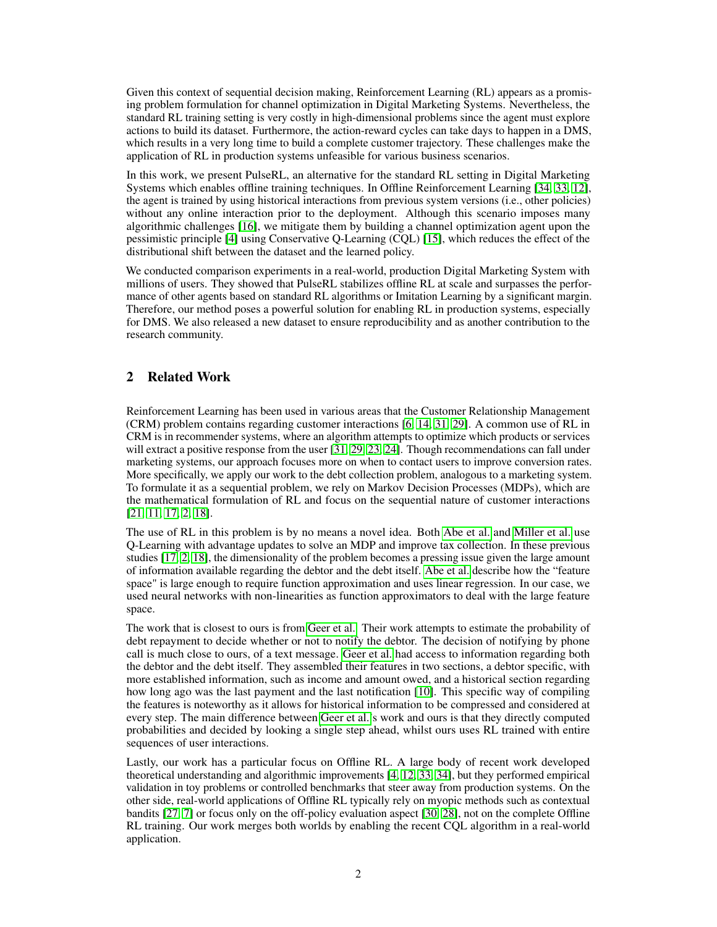Given this context of sequential decision making, Reinforcement Learning (RL) appears as a promising problem formulation for channel optimization in Digital Marketing Systems. Nevertheless, the standard RL training setting is very costly in high-dimensional problems since the agent must explore actions to build its dataset. Furthermore, the action-reward cycles can take days to happen in a DMS, which results in a very long time to build a complete customer trajectory. These challenges make the application of RL in production systems unfeasible for various business scenarios.

In this work, we present PulseRL, an alternative for the standard RL setting in Digital Marketing Systems which enables offline training techniques. In Offline Reinforcement Learning [\[34,](#page-10-0) [33,](#page-10-1) [12\]](#page-9-1), the agent is trained by using historical interactions from previous system versions (i.e., other policies) without any online interaction prior to the deployment. Although this scenario imposes many algorithmic challenges [\[16\]](#page-9-2), we mitigate them by building a channel optimization agent upon the pessimistic principle [\[4\]](#page-8-1) using Conservative Q-Learning (CQL) [\[15\]](#page-9-3), which reduces the effect of the distributional shift between the dataset and the learned policy.

We conducted comparison experiments in a real-world, production Digital Marketing System with millions of users. They showed that PulseRL stabilizes offline RL at scale and surpasses the performance of other agents based on standard RL algorithms or Imitation Learning by a significant margin. Therefore, our method poses a powerful solution for enabling RL in production systems, especially for DMS. We also released a new dataset to ensure reproducibility and as another contribution to the research community.

# 2 Related Work

Reinforcement Learning has been used in various areas that the Customer Relationship Management (CRM) problem contains regarding customer interactions [\[6,](#page-8-2) [14,](#page-9-4) [31,](#page-10-2) [29\]](#page-10-3). A common use of RL in CRM is in recommender systems, where an algorithm attempts to optimize which products or services will extract a positive response from the user [\[31,](#page-10-2) [29,](#page-10-3) [23,](#page-9-5) [24\]](#page-10-4). Though recommendations can fall under marketing systems, our approach focuses more on when to contact users to improve conversion rates. More specifically, we apply our work to the debt collection problem, analogous to a marketing system. To formulate it as a sequential problem, we rely on Markov Decision Processes (MDPs), which are the mathematical formulation of RL and focus on the sequential nature of customer interactions [\[21,](#page-9-6) [11,](#page-9-7) [17,](#page-9-8) [2,](#page-8-3) [18\]](#page-9-9).

The use of RL in this problem is by no means a novel idea. Both [Abe et al.](#page-8-3) and [Miller et al.](#page-9-9) use Q-Learning with advantage updates to solve an MDP and improve tax collection. In these previous studies [\[17,](#page-9-8) [2,](#page-8-3) [18\]](#page-9-9), the dimensionality of the problem becomes a pressing issue given the large amount of information available regarding the debtor and the debt itself. [Abe et al.](#page-8-3) describe how the "feature space" is large enough to require function approximation and uses linear regression. In our case, we used neural networks with non-linearities as function approximators to deal with the large feature space.

The work that is closest to ours is from [Geer et al..](#page-9-10) Their work attempts to estimate the probability of debt repayment to decide whether or not to notify the debtor. The decision of notifying by phone call is much close to ours, of a text message. [Geer et al.](#page-9-10) had access to information regarding both the debtor and the debt itself. They assembled their features in two sections, a debtor specific, with more established information, such as income and amount owed, and a historical section regarding how long ago was the last payment and the last notification [\[10\]](#page-9-10). This specific way of compiling the features is noteworthy as it allows for historical information to be compressed and considered at every step. The main difference between [Geer et al.'](#page-9-10)s work and ours is that they directly computed probabilities and decided by looking a single step ahead, whilst ours uses RL trained with entire sequences of user interactions.

Lastly, our work has a particular focus on Offline RL. A large body of recent work developed theoretical understanding and algorithmic improvements [\[4,](#page-8-1) [12,](#page-9-1) [33,](#page-10-1) [34\]](#page-10-0), but they performed empirical validation in toy problems or controlled benchmarks that steer away from production systems. On the other side, real-world applications of Offline RL typically rely on myopic methods such as contextual bandits [\[27,](#page-10-5) [7\]](#page-8-4) or focus only on the off-policy evaluation aspect [\[30,](#page-10-6) [28\]](#page-10-7), not on the complete Offline RL training. Our work merges both worlds by enabling the recent CQL algorithm in a real-world application.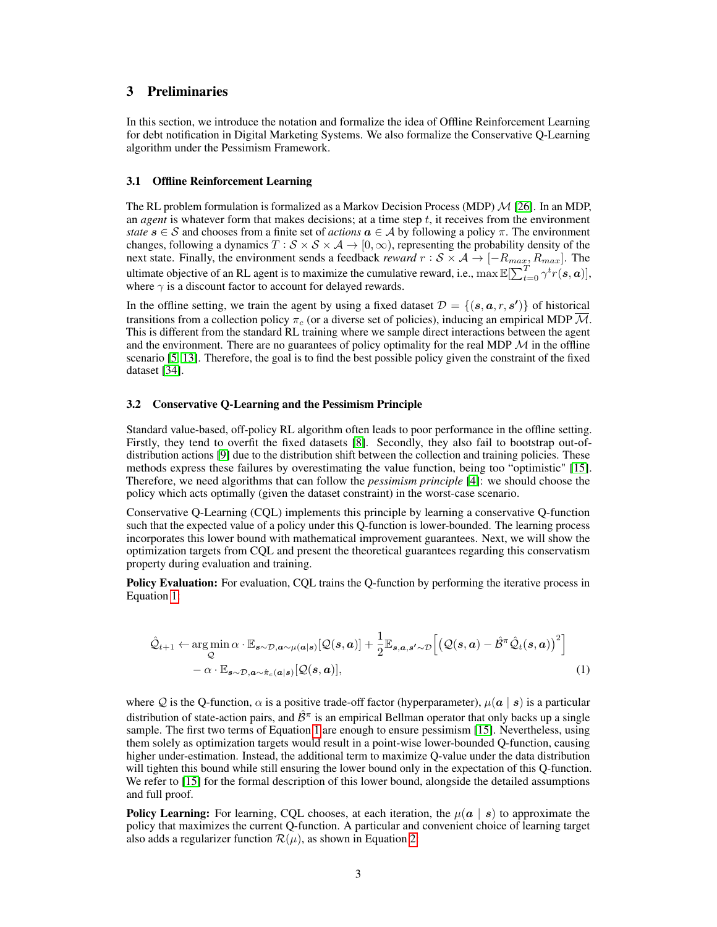# 3 Preliminaries

In this section, we introduce the notation and formalize the idea of Offline Reinforcement Learning for debt notification in Digital Marketing Systems. We also formalize the Conservative Q-Learning algorithm under the Pessimism Framework.

### 3.1 Offline Reinforcement Learning

The RL problem formulation is formalized as a Markov Decision Process (MDP)  $\mathcal{M}$  [\[26\]](#page-10-8). In an MDP, an *agent* is whatever form that makes decisions; at a time step  $t$ , it receives from the environment *state*  $s \in S$  and chooses from a finite set of *actions*  $a \in A$  by following a policy  $\pi$ . The environment changes, following a dynamics  $T : S \times S \times A \rightarrow [0, \infty)$ , representing the probability density of the next state. Finally, the environment sends a feedback *reward*  $r : \mathcal{S} \times \mathcal{A} \to [-R_{max}, R_{max}]$ . The ultimate objective of an RL agent is to maximize the cumulative reward, i.e.,  $\max \mathbb{E}[\sum_{t=0}^{T} \gamma^t r(s, a)]$ , where  $\gamma$  is a discount factor to account for delayed rewards.

In the offline setting, we train the agent by using a fixed dataset  $\mathcal{D} = \{(\mathbf{s}, \mathbf{a}, r, \mathbf{s}')\}$  of historical transitions from a collection policy  $\pi_c$  (or a diverse set of policies), inducing an empirical MDP  $\overline{\mathcal{M}}$ . This is different from the standard RL training where we sample direct interactions between the agent and the environment. There are no guarantees of policy optimality for the real MDP  $\mathcal M$  in the offline scenario [\[5,](#page-8-5) [13\]](#page-9-11). Therefore, the goal is to find the best possible policy given the constraint of the fixed dataset [\[34\]](#page-10-0).

### 3.2 Conservative Q-Learning and the Pessimism Principle

Standard value-based, off-policy RL algorithm often leads to poor performance in the offline setting. Firstly, they tend to overfit the fixed datasets [\[8\]](#page-8-6). Secondly, they also fail to bootstrap out-ofdistribution actions [\[9\]](#page-8-7) due to the distribution shift between the collection and training policies. These methods express these failures by overestimating the value function, being too "optimistic" [\[15\]](#page-9-3). Therefore, we need algorithms that can follow the *pessimism principle* [\[4\]](#page-8-1): we should choose the policy which acts optimally (given the dataset constraint) in the worst-case scenario.

Conservative Q-Learning (CQL) implements this principle by learning a conservative Q-function such that the expected value of a policy under this Q-function is lower-bounded. The learning process incorporates this lower bound with mathematical improvement guarantees. Next, we will show the optimization targets from CQL and present the theoretical guarantees regarding this conservatism property during evaluation and training.

Policy Evaluation: For evaluation, CQL trains the Q-function by performing the iterative process in Equation [1:](#page-2-0)

<span id="page-2-0"></span>
$$
\hat{\mathcal{Q}}_{t+1} \leftarrow \underset{\mathcal{Q}}{\arg\min} \, \alpha \cdot \mathbb{E}_{\mathbf{s} \sim \mathcal{D}, \mathbf{a} \sim \mu(\mathbf{a}|\mathbf{s})} [\mathcal{Q}(\mathbf{s}, \mathbf{a})] + \frac{1}{2} \mathbb{E}_{\mathbf{s}, \mathbf{a}, \mathbf{s}' \sim \mathcal{D}} \Big[ \big(\mathcal{Q}(\mathbf{s}, \mathbf{a}) - \hat{\mathcal{B}}^{\pi} \hat{\mathcal{Q}}_{t}(\mathbf{s}, \mathbf{a})\big)^{2} \Big] - \alpha \cdot \mathbb{E}_{\mathbf{s} \sim \mathcal{D}, \mathbf{a} \sim \hat{\pi}_{c}(\mathbf{a}|\mathbf{s})} [\mathcal{Q}(\mathbf{s}, \mathbf{a})], \tag{1}
$$

where Q is the Q-function,  $\alpha$  is a positive trade-off factor (hyperparameter),  $\mu(a \mid s)$  is a particular distribution of state-action pairs, and  $\hat{\mathcal{B}}^{\pi}$  is an empirical Bellman operator that only backs up a single sample. The first two terms of Equation [1](#page-2-0) are enough to ensure pessimism [\[15\]](#page-9-3). Nevertheless, using them solely as optimization targets would result in a point-wise lower-bounded Q-function, causing higher under-estimation. Instead, the additional term to maximize Q-value under the data distribution will tighten this bound while still ensuring the lower bound only in the expectation of this Q-function. We refer to [\[15\]](#page-9-3) for the formal description of this lower bound, alongside the detailed assumptions and full proof.

**Policy Learning:** For learning, CQL chooses, at each iteration, the  $\mu(a \mid s)$  to approximate the policy that maximizes the current Q-function. A particular and convenient choice of learning target also adds a regularizer function  $\mathcal{R}(\mu)$ , as shown in Equation [2:](#page-3-0)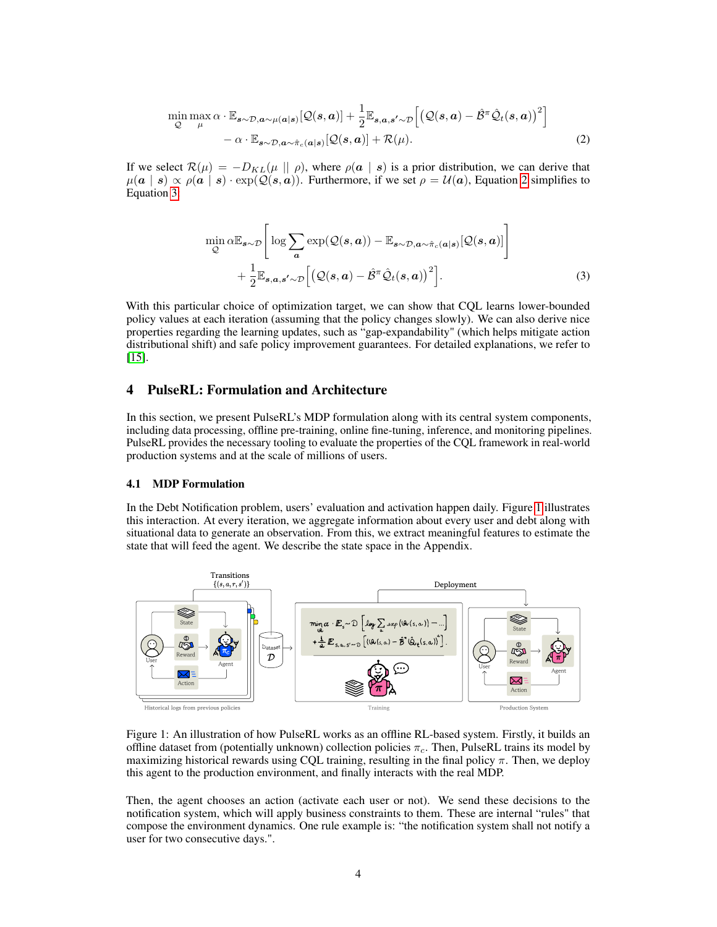$$
\min_{\mathcal{Q}} \max_{\mu} \alpha \cdot \mathbb{E}_{\mathbf{s} \sim \mathcal{D}, \mathbf{a} \sim \mu(\mathbf{a}|\mathbf{s})} [\mathcal{Q}(\mathbf{s}, \mathbf{a})] + \frac{1}{2} \mathbb{E}_{\mathbf{s}, \mathbf{a}, \mathbf{s}' \sim \mathcal{D}} \Big[ \big( \mathcal{Q}(\mathbf{s}, \mathbf{a}) - \hat{\mathcal{B}}^{\pi} \hat{\mathcal{Q}}_{t}(\mathbf{s}, \mathbf{a}) \big)^{2} \Big] - \alpha \cdot \mathbb{E}_{\mathbf{s} \sim \mathcal{D}, \mathbf{a} \sim \hat{\pi}_{c}(\mathbf{a}|\mathbf{s})} [\mathcal{Q}(\mathbf{s}, \mathbf{a})] + \mathcal{R}(\mu). \tag{2}
$$

If we select  $\mathcal{R}(\mu) = -D_{KL}(\mu \|\rho)$ , where  $\rho(a \mid s)$  is a prior distribution, we can derive that  $\mu(a \mid s) \propto \rho(a \mid s) \cdot \exp(Q(s, a))$ . Furthermore, if we set  $\rho = \mathcal{U}(a)$ , Equation [2](#page-3-0) simplifies to Equation [3:](#page-3-1)

<span id="page-3-1"></span><span id="page-3-0"></span>
$$
\min_{\mathcal{Q}} \alpha \mathbb{E}_{s \sim \mathcal{D}} \left[ \log \sum_{a} \exp(\mathcal{Q}(s, a)) - \mathbb{E}_{s \sim \mathcal{D}, a \sim \hat{\pi}_c(a|s)}[\mathcal{Q}(s, a)] \right] + \frac{1}{2} \mathbb{E}_{s, a, s' \sim \mathcal{D}} \left[ \left( \mathcal{Q}(s, a) - \hat{\mathcal{B}}^{\pi} \hat{\mathcal{Q}}_t(s, a) \right)^2 \right].
$$
\n(3)

With this particular choice of optimization target, we can show that CQL learns lower-bounded policy values at each iteration (assuming that the policy changes slowly). We can also derive nice properties regarding the learning updates, such as "gap-expandability" (which helps mitigate action distributional shift) and safe policy improvement guarantees. For detailed explanations, we refer to [\[15\]](#page-9-3).

### 4 PulseRL: Formulation and Architecture

In this section, we present PulseRL's MDP formulation along with its central system components, including data processing, offline pre-training, online fine-tuning, inference, and monitoring pipelines. PulseRL provides the necessary tooling to evaluate the properties of the CQL framework in real-world production systems and at the scale of millions of users.

#### 4.1 MDP Formulation

In the Debt Notification problem, users' evaluation and activation happen daily. Figure [1](#page-3-2) illustrates this interaction. At every iteration, we aggregate information about every user and debt along with situational data to generate an observation. From this, we extract meaningful features to estimate the state that will feed the agent. We describe the state space in the Appendix.

<span id="page-3-2"></span>

Figure 1: An illustration of how PulseRL works as an offline RL-based system. Firstly, it builds an offline dataset from (potentially unknown) collection policies  $\pi_c$ . Then, PulseRL trains its model by maximizing historical rewards using CQL training, resulting in the final policy  $\pi$ . Then, we deploy this agent to the production environment, and finally interacts with the real MDP.

Then, the agent chooses an action (activate each user or not). We send these decisions to the notification system, which will apply business constraints to them. These are internal "rules" that compose the environment dynamics. One rule example is: "the notification system shall not notify a user for two consecutive days.".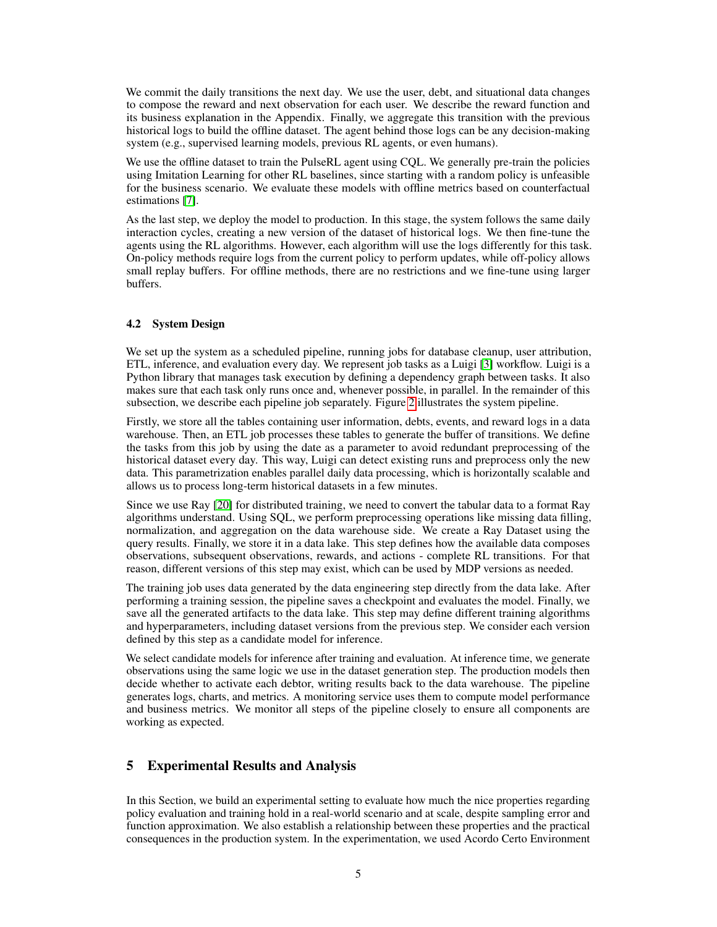We commit the daily transitions the next day. We use the user, debt, and situational data changes to compose the reward and next observation for each user. We describe the reward function and its business explanation in the Appendix. Finally, we aggregate this transition with the previous historical logs to build the offline dataset. The agent behind those logs can be any decision-making system (e.g., supervised learning models, previous RL agents, or even humans).

We use the offline dataset to train the PulseRL agent using COL. We generally pre-train the policies using Imitation Learning for other RL baselines, since starting with a random policy is unfeasible for the business scenario. We evaluate these models with offline metrics based on counterfactual estimations [\[7\]](#page-8-4).

As the last step, we deploy the model to production. In this stage, the system follows the same daily interaction cycles, creating a new version of the dataset of historical logs. We then fine-tune the agents using the RL algorithms. However, each algorithm will use the logs differently for this task. On-policy methods require logs from the current policy to perform updates, while off-policy allows small replay buffers. For offline methods, there are no restrictions and we fine-tune using larger buffers.

### 4.2 System Design

We set up the system as a scheduled pipeline, running jobs for database cleanup, user attribution, ETL, inference, and evaluation every day. We represent job tasks as a Luigi [\[3\]](#page-8-8) workflow. Luigi is a Python library that manages task execution by defining a dependency graph between tasks. It also makes sure that each task only runs once and, whenever possible, in parallel. In the remainder of this subsection, we describe each pipeline job separately. Figure [2](#page-5-0) illustrates the system pipeline.

Firstly, we store all the tables containing user information, debts, events, and reward logs in a data warehouse. Then, an ETL job processes these tables to generate the buffer of transitions. We define the tasks from this job by using the date as a parameter to avoid redundant preprocessing of the historical dataset every day. This way, Luigi can detect existing runs and preprocess only the new data. This parametrization enables parallel daily data processing, which is horizontally scalable and allows us to process long-term historical datasets in a few minutes.

Since we use Ray [\[20\]](#page-9-12) for distributed training, we need to convert the tabular data to a format Ray algorithms understand. Using SQL, we perform preprocessing operations like missing data filling, normalization, and aggregation on the data warehouse side. We create a Ray Dataset using the query results. Finally, we store it in a data lake. This step defines how the available data composes observations, subsequent observations, rewards, and actions - complete RL transitions. For that reason, different versions of this step may exist, which can be used by MDP versions as needed.

The training job uses data generated by the data engineering step directly from the data lake. After performing a training session, the pipeline saves a checkpoint and evaluates the model. Finally, we save all the generated artifacts to the data lake. This step may define different training algorithms and hyperparameters, including dataset versions from the previous step. We consider each version defined by this step as a candidate model for inference.

We select candidate models for inference after training and evaluation. At inference time, we generate observations using the same logic we use in the dataset generation step. The production models then decide whether to activate each debtor, writing results back to the data warehouse. The pipeline generates logs, charts, and metrics. A monitoring service uses them to compute model performance and business metrics. We monitor all steps of the pipeline closely to ensure all components are working as expected.

# 5 Experimental Results and Analysis

In this Section, we build an experimental setting to evaluate how much the nice properties regarding policy evaluation and training hold in a real-world scenario and at scale, despite sampling error and function approximation. We also establish a relationship between these properties and the practical consequences in the production system. In the experimentation, we used Acordo Certo Environment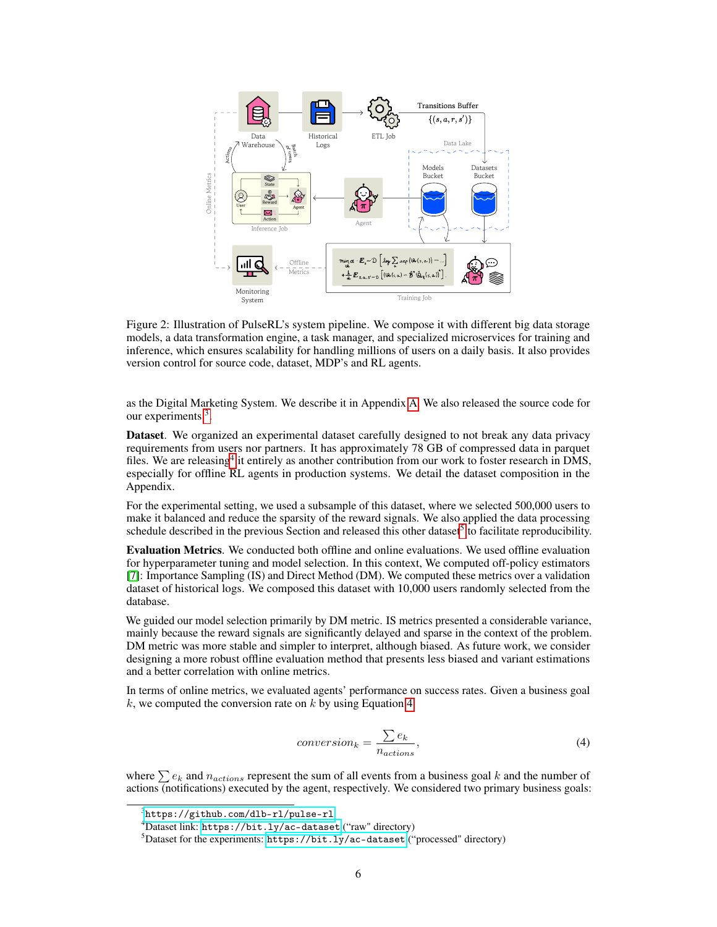<span id="page-5-0"></span>

Figure 2: Illustration of PulseRL's system pipeline. We compose it with different big data storage models, a data transformation engine, a task manager, and specialized microservices for training and inference, which ensures scalability for handling millions of users on a daily basis. It also provides version control for source code, dataset, MDP's and RL agents.

as the Digital Marketing System. We describe it in Appendix [A.](#page-11-0) We also released the source code for our experiments<sup>[3](#page-5-1)</sup>.

Dataset. We organized an experimental dataset carefully designed to not break any data privacy requirements from users nor partners. It has approximately 78 GB of compressed data in parquet files. We are releasing<sup>[4](#page-5-2)</sup> it entirely as another contribution from our work to foster research in DMS, especially for offline RL agents in production systems. We detail the dataset composition in the Appendix.

For the experimental setting, we used a subsample of this dataset, where we selected 500,000 users to make it balanced and reduce the sparsity of the reward signals. We also applied the data processing schedule described in the previous Section and released this other dataset<sup>[5](#page-5-3)</sup> to facilitate reproducibility.

Evaluation Metrics. We conducted both offline and online evaluations. We used offline evaluation for hyperparameter tuning and model selection. In this context, We computed off-policy estimators [\[7\]](#page-8-4): Importance Sampling (IS) and Direct Method (DM). We computed these metrics over a validation dataset of historical logs. We composed this dataset with 10,000 users randomly selected from the database.

We guided our model selection primarily by DM metric. IS metrics presented a considerable variance, mainly because the reward signals are significantly delayed and sparse in the context of the problem. DM metric was more stable and simpler to interpret, although biased. As future work, we consider designing a more robust offline evaluation method that presents less biased and variant estimations and a better correlation with online metrics.

<span id="page-5-4"></span>In terms of online metrics, we evaluated agents' performance on success rates. Given a business goal k, we computed the conversion rate on  $k$  by using Equation [4:](#page-5-4)

$$
conversion_k = \frac{\sum e_k}{n_{actions}},\tag{4}
$$

where  $\sum e_k$  and  $n_{actions}$  represent the sum of all events from a business goal k and the number of actions (notifications) executed by the agent, respectively. We considered two primary business goals:

<span id="page-5-1"></span><sup>3</sup> <https://github.com/dlb-rl/pulse-rl>

<span id="page-5-2"></span><sup>4</sup>Dataset link: <https://bit.ly/ac-dataset> ("raw" directory)

<span id="page-5-3"></span> $5$ Dataset for the experiments: <https://bit.ly/ac-dataset> ("processed" directory)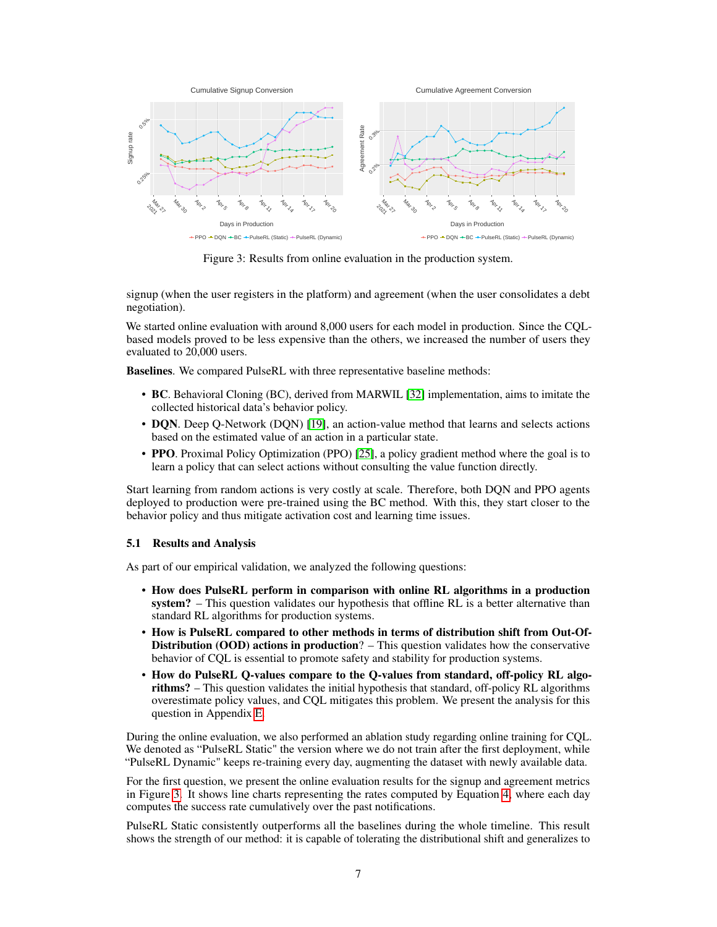<span id="page-6-0"></span>

Figure 3: Results from online evaluation in the production system.

signup (when the user registers in the platform) and agreement (when the user consolidates a debt negotiation).

We started online evaluation with around 8,000 users for each model in production. Since the CQLbased models proved to be less expensive than the others, we increased the number of users they evaluated to 20,000 users.

Baselines. We compared PulseRL with three representative baseline methods:

- BC. Behavioral Cloning (BC), derived from MARWIL [\[32\]](#page-10-9) implementation, aims to imitate the collected historical data's behavior policy.
- DQN. Deep Q-Network (DQN) [\[19\]](#page-9-13), an action-value method that learns and selects actions based on the estimated value of an action in a particular state.
- **PPO**. Proximal Policy Optimization (PPO) [\[25\]](#page-10-10), a policy gradient method where the goal is to learn a policy that can select actions without consulting the value function directly.

Start learning from random actions is very costly at scale. Therefore, both DQN and PPO agents deployed to production were pre-trained using the BC method. With this, they start closer to the behavior policy and thus mitigate activation cost and learning time issues.

### 5.1 Results and Analysis

As part of our empirical validation, we analyzed the following questions:

- How does PulseRL perform in comparison with online RL algorithms in a production system? – This question validates our hypothesis that offline RL is a better alternative than standard RL algorithms for production systems.
- How is PulseRL compared to other methods in terms of distribution shift from Out-Of-**Distribution (OOD) actions in production**?  $-$  This question validates how the conservative behavior of CQL is essential to promote safety and stability for production systems.
- How do PulseRL Q-values compare to the Q-values from standard, off-policy RL algorithms? – This question validates the initial hypothesis that standard, off-policy RL algorithms overestimate policy values, and CQL mitigates this problem. We present the analysis for this question in Appendix [E.](#page-13-0)

During the online evaluation, we also performed an ablation study regarding online training for CQL. We denoted as "PulseRL Static" the version where we do not train after the first deployment, while "PulseRL Dynamic" keeps re-training every day, augmenting the dataset with newly available data.

For the first question, we present the online evaluation results for the signup and agreement metrics in Figure [3.](#page-6-0) It shows line charts representing the rates computed by Equation [4,](#page-5-4) where each day computes the success rate cumulatively over the past notifications.

PulseRL Static consistently outperforms all the baselines during the whole timeline. This result shows the strength of our method: it is capable of tolerating the distributional shift and generalizes to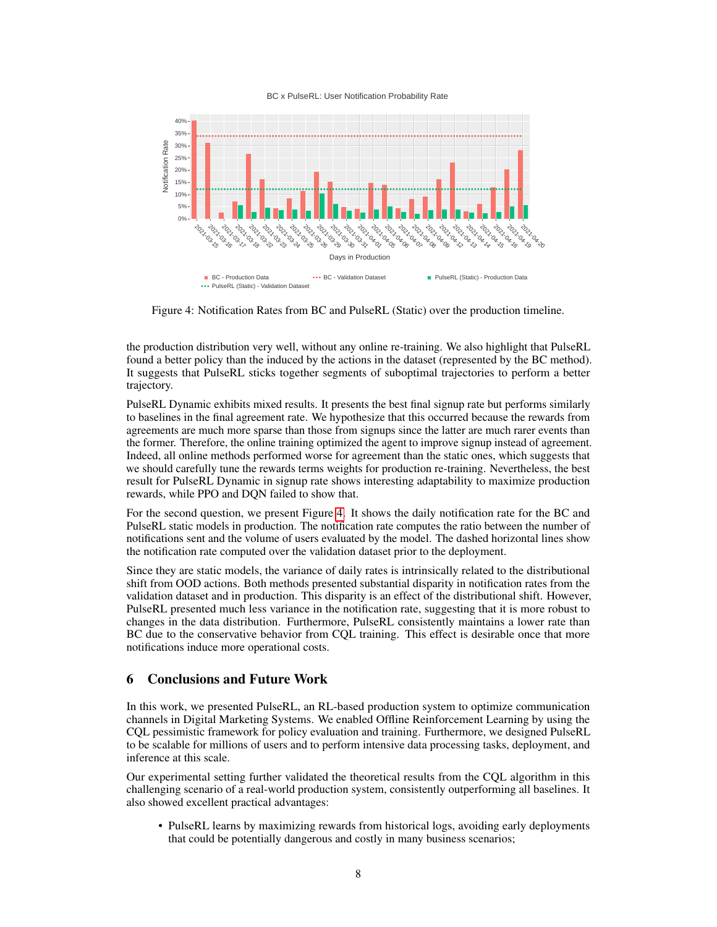#### BC x PulseRL: User Notification Probability Rate

<span id="page-7-0"></span>

Figure 4: Notification Rates from BC and PulseRL (Static) over the production timeline.

the production distribution very well, without any online re-training. We also highlight that PulseRL found a better policy than the induced by the actions in the dataset (represented by the BC method). It suggests that PulseRL sticks together segments of suboptimal trajectories to perform a better trajectory.

PulseRL Dynamic exhibits mixed results. It presents the best final signup rate but performs similarly to baselines in the final agreement rate. We hypothesize that this occurred because the rewards from agreements are much more sparse than those from signups since the latter are much rarer events than the former. Therefore, the online training optimized the agent to improve signup instead of agreement. Indeed, all online methods performed worse for agreement than the static ones, which suggests that we should carefully tune the rewards terms weights for production re-training. Nevertheless, the best result for PulseRL Dynamic in signup rate shows interesting adaptability to maximize production rewards, while PPO and DQN failed to show that.

For the second question, we present Figure [4.](#page-7-0) It shows the daily notification rate for the BC and PulseRL static models in production. The notification rate computes the ratio between the number of notifications sent and the volume of users evaluated by the model. The dashed horizontal lines show the notification rate computed over the validation dataset prior to the deployment.

Since they are static models, the variance of daily rates is intrinsically related to the distributional shift from OOD actions. Both methods presented substantial disparity in notification rates from the validation dataset and in production. This disparity is an effect of the distributional shift. However, PulseRL presented much less variance in the notification rate, suggesting that it is more robust to changes in the data distribution. Furthermore, PulseRL consistently maintains a lower rate than BC due to the conservative behavior from CQL training. This effect is desirable once that more notifications induce more operational costs.

# 6 Conclusions and Future Work

In this work, we presented PulseRL, an RL-based production system to optimize communication channels in Digital Marketing Systems. We enabled Offline Reinforcement Learning by using the CQL pessimistic framework for policy evaluation and training. Furthermore, we designed PulseRL to be scalable for millions of users and to perform intensive data processing tasks, deployment, and inference at this scale.

Our experimental setting further validated the theoretical results from the CQL algorithm in this challenging scenario of a real-world production system, consistently outperforming all baselines. It also showed excellent practical advantages:

• PulseRL learns by maximizing rewards from historical logs, avoiding early deployments that could be potentially dangerous and costly in many business scenarios;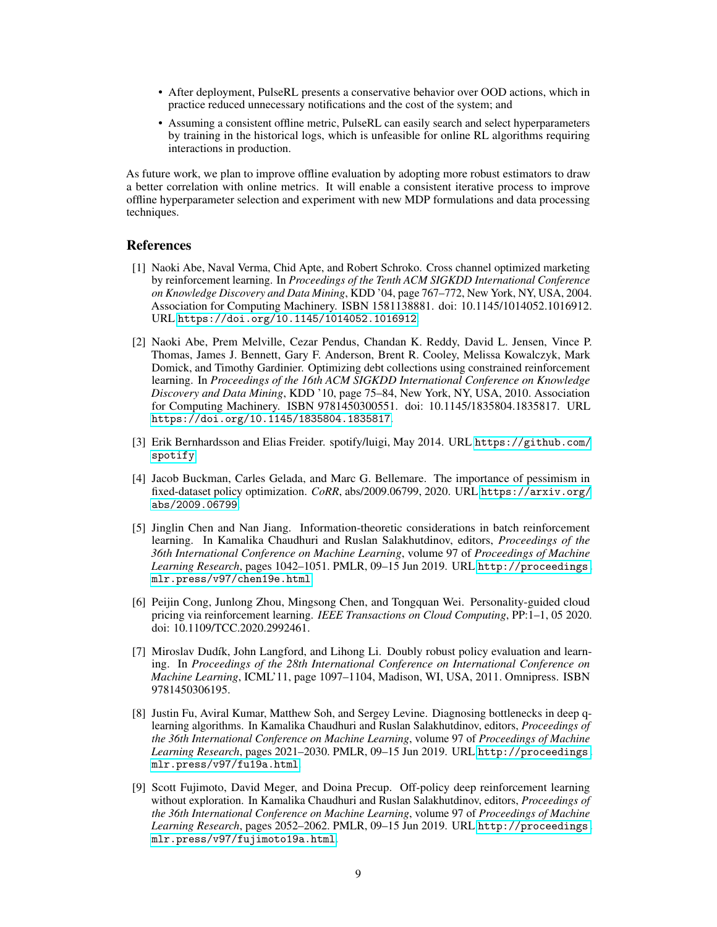- After deployment, PulseRL presents a conservative behavior over OOD actions, which in practice reduced unnecessary notifications and the cost of the system; and
- Assuming a consistent offline metric, PulseRL can easily search and select hyperparameters by training in the historical logs, which is unfeasible for online RL algorithms requiring interactions in production.

As future work, we plan to improve offline evaluation by adopting more robust estimators to draw a better correlation with online metrics. It will enable a consistent iterative process to improve offline hyperparameter selection and experiment with new MDP formulations and data processing techniques.

### References

- <span id="page-8-0"></span>[1] Naoki Abe, Naval Verma, Chid Apte, and Robert Schroko. Cross channel optimized marketing by reinforcement learning. In *Proceedings of the Tenth ACM SIGKDD International Conference on Knowledge Discovery and Data Mining*, KDD '04, page 767–772, New York, NY, USA, 2004. Association for Computing Machinery. ISBN 1581138881. doi: 10.1145/1014052.1016912. URL <https://doi.org/10.1145/1014052.1016912>.
- <span id="page-8-3"></span>[2] Naoki Abe, Prem Melville, Cezar Pendus, Chandan K. Reddy, David L. Jensen, Vince P. Thomas, James J. Bennett, Gary F. Anderson, Brent R. Cooley, Melissa Kowalczyk, Mark Domick, and Timothy Gardinier. Optimizing debt collections using constrained reinforcement learning. In *Proceedings of the 16th ACM SIGKDD International Conference on Knowledge Discovery and Data Mining*, KDD '10, page 75–84, New York, NY, USA, 2010. Association for Computing Machinery. ISBN 9781450300551. doi: 10.1145/1835804.1835817. URL <https://doi.org/10.1145/1835804.1835817>.
- <span id="page-8-8"></span>[3] Erik Bernhardsson and Elias Freider. spotify/luigi, May 2014. URL [https://github.com/](https://github.com/spotify) [spotify](https://github.com/spotify).
- <span id="page-8-1"></span>[4] Jacob Buckman, Carles Gelada, and Marc G. Bellemare. The importance of pessimism in fixed-dataset policy optimization. *CoRR*, abs/2009.06799, 2020. URL [https://arxiv.org/](https://arxiv.org/abs/2009.06799) [abs/2009.06799](https://arxiv.org/abs/2009.06799).
- <span id="page-8-5"></span>[5] Jinglin Chen and Nan Jiang. Information-theoretic considerations in batch reinforcement learning. In Kamalika Chaudhuri and Ruslan Salakhutdinov, editors, *Proceedings of the 36th International Conference on Machine Learning*, volume 97 of *Proceedings of Machine Learning Research*, pages 1042–1051. PMLR, 09–15 Jun 2019. URL [http://proceedings.](http://proceedings.mlr.press/v97/chen19e.html) [mlr.press/v97/chen19e.html](http://proceedings.mlr.press/v97/chen19e.html).
- <span id="page-8-2"></span>[6] Peijin Cong, Junlong Zhou, Mingsong Chen, and Tongquan Wei. Personality-guided cloud pricing via reinforcement learning. *IEEE Transactions on Cloud Computing*, PP:1–1, 05 2020. doi: 10.1109/TCC.2020.2992461.
- <span id="page-8-4"></span>[7] Miroslav Dudík, John Langford, and Lihong Li. Doubly robust policy evaluation and learning. In *Proceedings of the 28th International Conference on International Conference on Machine Learning*, ICML'11, page 1097–1104, Madison, WI, USA, 2011. Omnipress. ISBN 9781450306195.
- <span id="page-8-6"></span>[8] Justin Fu, Aviral Kumar, Matthew Soh, and Sergey Levine. Diagnosing bottlenecks in deep qlearning algorithms. In Kamalika Chaudhuri and Ruslan Salakhutdinov, editors, *Proceedings of the 36th International Conference on Machine Learning*, volume 97 of *Proceedings of Machine Learning Research*, pages 2021–2030. PMLR, 09–15 Jun 2019. URL [http://proceedings.](http://proceedings.mlr.press/v97/fu19a.html) [mlr.press/v97/fu19a.html](http://proceedings.mlr.press/v97/fu19a.html).
- <span id="page-8-7"></span>[9] Scott Fujimoto, David Meger, and Doina Precup. Off-policy deep reinforcement learning without exploration. In Kamalika Chaudhuri and Ruslan Salakhutdinov, editors, *Proceedings of the 36th International Conference on Machine Learning*, volume 97 of *Proceedings of Machine Learning Research*, pages 2052–2062. PMLR, 09–15 Jun 2019. URL [http://proceedings.](http://proceedings.mlr.press/v97/fujimoto19a.html) [mlr.press/v97/fujimoto19a.html](http://proceedings.mlr.press/v97/fujimoto19a.html).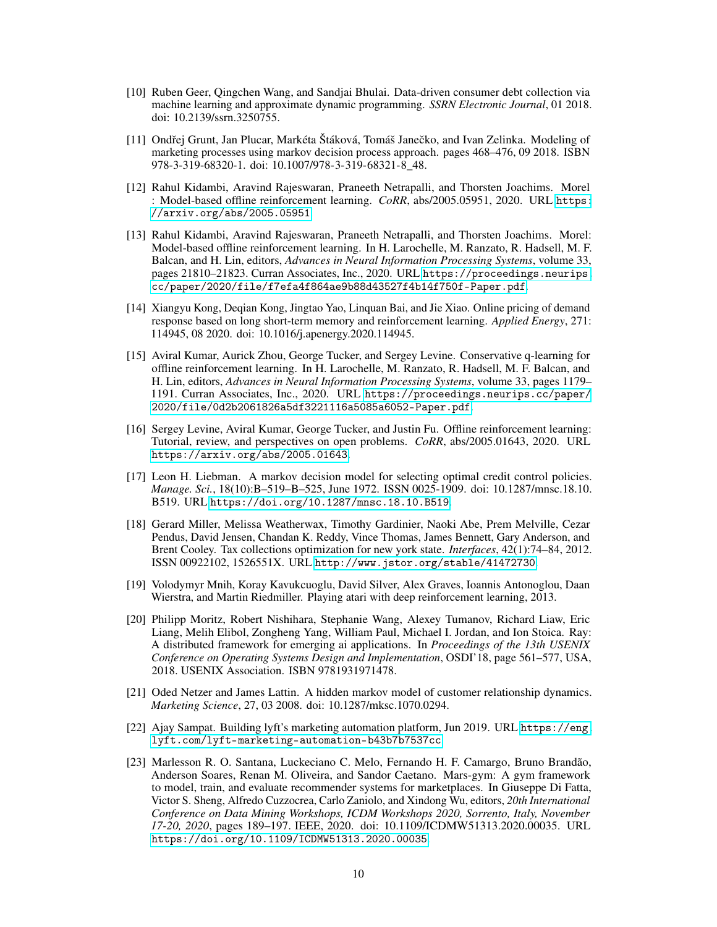- <span id="page-9-10"></span>[10] Ruben Geer, Qingchen Wang, and Sandjai Bhulai. Data-driven consumer debt collection via machine learning and approximate dynamic programming. *SSRN Electronic Journal*, 01 2018. doi: 10.2139/ssrn.3250755.
- <span id="page-9-7"></span>[11] Ondřej Grunt, Jan Plucar, Markéta Štáková, Tomáš Janečko, and Ivan Zelinka. Modeling of marketing processes using markov decision process approach. pages 468–476, 09 2018. ISBN 978-3-319-68320-1. doi: 10.1007/978-3-319-68321-8\_48.
- <span id="page-9-1"></span>[12] Rahul Kidambi, Aravind Rajeswaran, Praneeth Netrapalli, and Thorsten Joachims. Morel : Model-based offline reinforcement learning. *CoRR*, abs/2005.05951, 2020. URL [https:](https://arxiv.org/abs/2005.05951) [//arxiv.org/abs/2005.05951](https://arxiv.org/abs/2005.05951).
- <span id="page-9-11"></span>[13] Rahul Kidambi, Aravind Rajeswaran, Praneeth Netrapalli, and Thorsten Joachims. Morel: Model-based offline reinforcement learning. In H. Larochelle, M. Ranzato, R. Hadsell, M. F. Balcan, and H. Lin, editors, *Advances in Neural Information Processing Systems*, volume 33, pages 21810–21823. Curran Associates, Inc., 2020. URL [https://proceedings.neurips.](https://proceedings.neurips.cc/paper/2020/file/f7efa4f864ae9b88d43527f4b14f750f-Paper.pdf) [cc/paper/2020/file/f7efa4f864ae9b88d43527f4b14f750f-Paper.pdf](https://proceedings.neurips.cc/paper/2020/file/f7efa4f864ae9b88d43527f4b14f750f-Paper.pdf).
- <span id="page-9-4"></span>[14] Xiangyu Kong, Deqian Kong, Jingtao Yao, Linquan Bai, and Jie Xiao. Online pricing of demand response based on long short-term memory and reinforcement learning. *Applied Energy*, 271: 114945, 08 2020. doi: 10.1016/j.apenergy.2020.114945.
- <span id="page-9-3"></span>[15] Aviral Kumar, Aurick Zhou, George Tucker, and Sergey Levine. Conservative q-learning for offline reinforcement learning. In H. Larochelle, M. Ranzato, R. Hadsell, M. F. Balcan, and H. Lin, editors, *Advances in Neural Information Processing Systems*, volume 33, pages 1179– 1191. Curran Associates, Inc., 2020. URL [https://proceedings.neurips.cc/paper/](https://proceedings.neurips.cc/paper/2020/file/0d2b2061826a5df3221116a5085a6052-Paper.pdf) [2020/file/0d2b2061826a5df3221116a5085a6052-Paper.pdf](https://proceedings.neurips.cc/paper/2020/file/0d2b2061826a5df3221116a5085a6052-Paper.pdf).
- <span id="page-9-2"></span>[16] Sergey Levine, Aviral Kumar, George Tucker, and Justin Fu. Offline reinforcement learning: Tutorial, review, and perspectives on open problems. *CoRR*, abs/2005.01643, 2020. URL <https://arxiv.org/abs/2005.01643>.
- <span id="page-9-8"></span>[17] Leon H. Liebman. A markov decision model for selecting optimal credit control policies. *Manage. Sci.*, 18(10):B–519–B–525, June 1972. ISSN 0025-1909. doi: 10.1287/mnsc.18.10. B519. URL <https://doi.org/10.1287/mnsc.18.10.B519>.
- <span id="page-9-9"></span>[18] Gerard Miller, Melissa Weatherwax, Timothy Gardinier, Naoki Abe, Prem Melville, Cezar Pendus, David Jensen, Chandan K. Reddy, Vince Thomas, James Bennett, Gary Anderson, and Brent Cooley. Tax collections optimization for new york state. *Interfaces*, 42(1):74–84, 2012. ISSN 00922102, 1526551X. URL <http://www.jstor.org/stable/41472730>.
- <span id="page-9-13"></span>[19] Volodymyr Mnih, Koray Kavukcuoglu, David Silver, Alex Graves, Ioannis Antonoglou, Daan Wierstra, and Martin Riedmiller. Playing atari with deep reinforcement learning, 2013.
- <span id="page-9-12"></span>[20] Philipp Moritz, Robert Nishihara, Stephanie Wang, Alexey Tumanov, Richard Liaw, Eric Liang, Melih Elibol, Zongheng Yang, William Paul, Michael I. Jordan, and Ion Stoica. Ray: A distributed framework for emerging ai applications. In *Proceedings of the 13th USENIX Conference on Operating Systems Design and Implementation*, OSDI'18, page 561–577, USA, 2018. USENIX Association. ISBN 9781931971478.
- <span id="page-9-6"></span>[21] Oded Netzer and James Lattin. A hidden markov model of customer relationship dynamics. *Marketing Science*, 27, 03 2008. doi: 10.1287/mksc.1070.0294.
- <span id="page-9-0"></span>[22] Ajay Sampat. Building lyft's marketing automation platform, Jun 2019. URL [https://eng.](https://eng.lyft.com/lyft-marketing-automation-b43b7b7537cc) [lyft.com/lyft-marketing-automation-b43b7b7537cc](https://eng.lyft.com/lyft-marketing-automation-b43b7b7537cc).
- <span id="page-9-5"></span>[23] Marlesson R. O. Santana, Luckeciano C. Melo, Fernando H. F. Camargo, Bruno Brandão, Anderson Soares, Renan M. Oliveira, and Sandor Caetano. Mars-gym: A gym framework to model, train, and evaluate recommender systems for marketplaces. In Giuseppe Di Fatta, Victor S. Sheng, Alfredo Cuzzocrea, Carlo Zaniolo, and Xindong Wu, editors, *20th International Conference on Data Mining Workshops, ICDM Workshops 2020, Sorrento, Italy, November 17-20, 2020*, pages 189–197. IEEE, 2020. doi: 10.1109/ICDMW51313.2020.00035. URL <https://doi.org/10.1109/ICDMW51313.2020.00035>.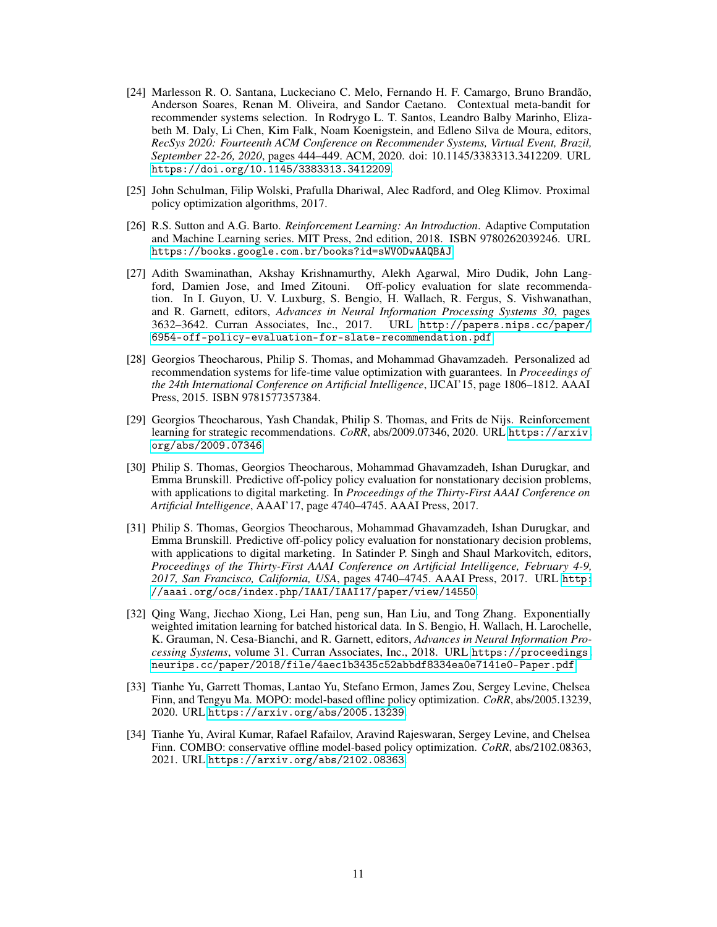- <span id="page-10-4"></span>[24] Marlesson R. O. Santana, Luckeciano C. Melo, Fernando H. F. Camargo, Bruno Brandão, Anderson Soares, Renan M. Oliveira, and Sandor Caetano. Contextual meta-bandit for recommender systems selection. In Rodrygo L. T. Santos, Leandro Balby Marinho, Elizabeth M. Daly, Li Chen, Kim Falk, Noam Koenigstein, and Edleno Silva de Moura, editors, *RecSys 2020: Fourteenth ACM Conference on Recommender Systems, Virtual Event, Brazil, September 22-26, 2020*, pages 444–449. ACM, 2020. doi: 10.1145/3383313.3412209. URL <https://doi.org/10.1145/3383313.3412209>.
- <span id="page-10-10"></span>[25] John Schulman, Filip Wolski, Prafulla Dhariwal, Alec Radford, and Oleg Klimov. Proximal policy optimization algorithms, 2017.
- <span id="page-10-8"></span>[26] R.S. Sutton and A.G. Barto. *Reinforcement Learning: An Introduction*. Adaptive Computation and Machine Learning series. MIT Press, 2nd edition, 2018. ISBN 9780262039246. URL <https://books.google.com.br/books?id=sWV0DwAAQBAJ>.
- <span id="page-10-5"></span>[27] Adith Swaminathan, Akshay Krishnamurthy, Alekh Agarwal, Miro Dudik, John Langford, Damien Jose, and Imed Zitouni. Off-policy evaluation for slate recommendation. In I. Guyon, U. V. Luxburg, S. Bengio, H. Wallach, R. Fergus, S. Vishwanathan, and R. Garnett, editors, *Advances in Neural Information Processing Systems 30*, pages 3632–3642. Curran Associates, Inc., 2017. URL [http://papers.nips.cc/paper/](http://papers.nips.cc/paper/6954-off-policy-evaluation-for-slate-recommendation.pdf) [6954-off-policy-evaluation-for-slate-recommendation.pdf](http://papers.nips.cc/paper/6954-off-policy-evaluation-for-slate-recommendation.pdf).
- <span id="page-10-7"></span>[28] Georgios Theocharous, Philip S. Thomas, and Mohammad Ghavamzadeh. Personalized ad recommendation systems for life-time value optimization with guarantees. In *Proceedings of the 24th International Conference on Artificial Intelligence*, IJCAI'15, page 1806–1812. AAAI Press, 2015. ISBN 9781577357384.
- <span id="page-10-3"></span>[29] Georgios Theocharous, Yash Chandak, Philip S. Thomas, and Frits de Nijs. Reinforcement learning for strategic recommendations. *CoRR*, abs/2009.07346, 2020. URL [https://arxiv.](https://arxiv.org/abs/2009.07346) [org/abs/2009.07346](https://arxiv.org/abs/2009.07346).
- <span id="page-10-6"></span>[30] Philip S. Thomas, Georgios Theocharous, Mohammad Ghavamzadeh, Ishan Durugkar, and Emma Brunskill. Predictive off-policy policy evaluation for nonstationary decision problems, with applications to digital marketing. In *Proceedings of the Thirty-First AAAI Conference on Artificial Intelligence*, AAAI'17, page 4740–4745. AAAI Press, 2017.
- <span id="page-10-2"></span>[31] Philip S. Thomas, Georgios Theocharous, Mohammad Ghavamzadeh, Ishan Durugkar, and Emma Brunskill. Predictive off-policy policy evaluation for nonstationary decision problems, with applications to digital marketing. In Satinder P. Singh and Shaul Markovitch, editors, *Proceedings of the Thirty-First AAAI Conference on Artificial Intelligence, February 4-9, 2017, San Francisco, California, USA*, pages 4740–4745. AAAI Press, 2017. URL [http:](http://aaai.org/ocs/index.php/IAAI/IAAI17/paper/view/14550) [//aaai.org/ocs/index.php/IAAI/IAAI17/paper/view/14550](http://aaai.org/ocs/index.php/IAAI/IAAI17/paper/view/14550).
- <span id="page-10-9"></span>[32] Qing Wang, Jiechao Xiong, Lei Han, peng sun, Han Liu, and Tong Zhang. Exponentially weighted imitation learning for batched historical data. In S. Bengio, H. Wallach, H. Larochelle, K. Grauman, N. Cesa-Bianchi, and R. Garnett, editors, *Advances in Neural Information Processing Systems*, volume 31. Curran Associates, Inc., 2018. URL [https://proceedings.](https://proceedings.neurips.cc/paper/2018/file/4aec1b3435c52abbdf8334ea0e7141e0-Paper.pdf) [neurips.cc/paper/2018/file/4aec1b3435c52abbdf8334ea0e7141e0-Paper.pdf](https://proceedings.neurips.cc/paper/2018/file/4aec1b3435c52abbdf8334ea0e7141e0-Paper.pdf).
- <span id="page-10-1"></span>[33] Tianhe Yu, Garrett Thomas, Lantao Yu, Stefano Ermon, James Zou, Sergey Levine, Chelsea Finn, and Tengyu Ma. MOPO: model-based offline policy optimization. *CoRR*, abs/2005.13239, 2020. URL <https://arxiv.org/abs/2005.13239>.
- <span id="page-10-0"></span>[34] Tianhe Yu, Aviral Kumar, Rafael Rafailov, Aravind Rajeswaran, Sergey Levine, and Chelsea Finn. COMBO: conservative offline model-based policy optimization. *CoRR*, abs/2102.08363, 2021. URL <https://arxiv.org/abs/2102.08363>.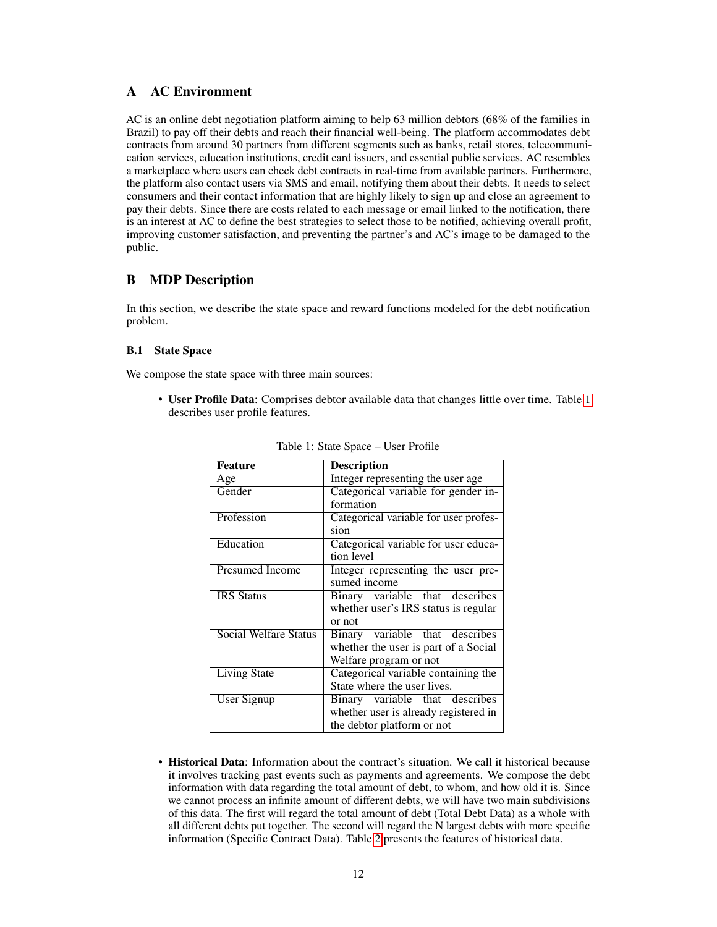# <span id="page-11-0"></span>A AC Environment

AC is an online debt negotiation platform aiming to help 63 million debtors (68% of the families in Brazil) to pay off their debts and reach their financial well-being. The platform accommodates debt contracts from around 30 partners from different segments such as banks, retail stores, telecommunication services, education institutions, credit card issuers, and essential public services. AC resembles a marketplace where users can check debt contracts in real-time from available partners. Furthermore, the platform also contact users via SMS and email, notifying them about their debts. It needs to select consumers and their contact information that are highly likely to sign up and close an agreement to pay their debts. Since there are costs related to each message or email linked to the notification, there is an interest at AC to define the best strategies to select those to be notified, achieving overall profit, improving customer satisfaction, and preventing the partner's and AC's image to be damaged to the public.

# B MDP Description

In this section, we describe the state space and reward functions modeled for the debt notification problem.

### B.1 State Space

We compose the state space with three main sources:

<span id="page-11-1"></span>• User Profile Data: Comprises debtor available data that changes little over time. Table [1](#page-11-1) describes user profile features.

| <b>Feature</b>               | <b>Description</b>                    |
|------------------------------|---------------------------------------|
| Age                          | Integer representing the user age.    |
| Gender                       | Categorical variable for gender in-   |
|                              | formation                             |
| Profession                   | Categorical variable for user profes- |
|                              | sion                                  |
| Education                    | Categorical variable for user educa-  |
|                              | tion level                            |
| Presumed Income              | Integer representing the user pre-    |
|                              | sumed income                          |
| <b>IRS</b> Status            | Binary variable that describes        |
|                              | whether user's IRS status is regular  |
|                              | or not                                |
| <b>Social Welfare Status</b> | Binary variable that describes        |
|                              | whether the user is part of a Social  |
|                              | Welfare program or not                |
| <b>Living State</b>          | Categorical variable containing the   |
|                              | State where the user lives.           |
| User Signup                  | Binary variable that describes        |
|                              | whether user is already registered in |
|                              | the debtor platform or not            |

Table 1: State Space – User Profile

• Historical Data: Information about the contract's situation. We call it historical because it involves tracking past events such as payments and agreements. We compose the debt information with data regarding the total amount of debt, to whom, and how old it is. Since we cannot process an infinite amount of different debts, we will have two main subdivisions of this data. The first will regard the total amount of debt (Total Debt Data) as a whole with all different debts put together. The second will regard the N largest debts with more specific information (Specific Contract Data). Table [2](#page-12-0) presents the features of historical data.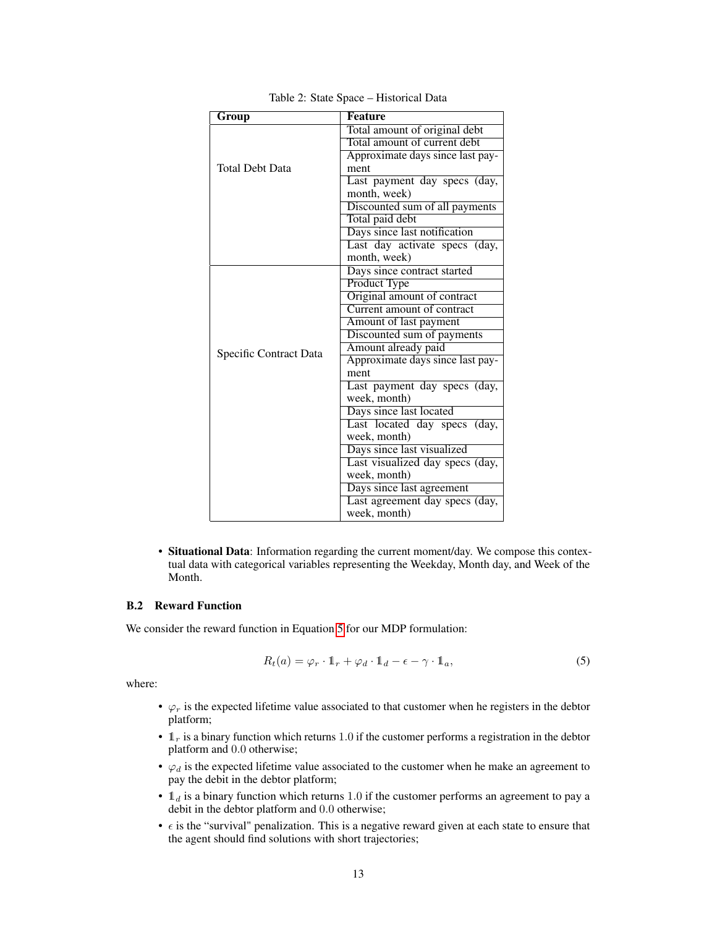<span id="page-12-0"></span>

| Group                  | <b>Feature</b>                                                |
|------------------------|---------------------------------------------------------------|
| Total Debt Data        | Total amount of original debt                                 |
|                        | Total amount of current debt                                  |
|                        | Approximate days since last pay-                              |
|                        | ment                                                          |
|                        | Last payment day specs (day,                                  |
|                        | month, week)                                                  |
|                        | Discounted sum of all payments                                |
|                        | Total paid debt                                               |
|                        | Days since last notification                                  |
|                        | Last day activate specs (day,                                 |
|                        | month, week)                                                  |
| Specific Contract Data | Days since contract started                                   |
|                        | Product Type                                                  |
|                        | Original amount of contract                                   |
|                        | Current amount of contract                                    |
|                        | Amount of last payment                                        |
|                        | Discounted sum of payments                                    |
|                        | Amount already paid                                           |
|                        | Approximate days since last pay-                              |
|                        | ment                                                          |
|                        | Last payment day specs (day,                                  |
|                        | week, month)                                                  |
|                        | Days since last located                                       |
|                        | Last located day specs (day,                                  |
|                        | week, month)                                                  |
|                        | Days since last visualized<br>Last visualized day specs (day, |
|                        | week, month)                                                  |
|                        | Days since last agreement                                     |
|                        | Last agreement day specs (day,                                |
|                        | week, month)                                                  |
|                        |                                                               |

Table 2: State Space – Historical Data

• Situational Data: Information regarding the current moment/day. We compose this contextual data with categorical variables representing the Weekday, Month day, and Week of the Month.

### B.2 Reward Function

<span id="page-12-1"></span>We consider the reward function in Equation [5](#page-12-1) for our MDP formulation:

$$
R_t(a) = \varphi_r \cdot \mathbb{1}_r + \varphi_d \cdot \mathbb{1}_d - \epsilon - \gamma \cdot \mathbb{1}_a,\tag{5}
$$

where:

- $\varphi_r$  is the expected lifetime value associated to that customer when he registers in the debtor platform;
- $\mathbb{1}_r$  is a binary function which returns 1.0 if the customer performs a registration in the debtor platform and 0.0 otherwise;
- $\varphi_d$  is the expected lifetime value associated to the customer when he make an agreement to pay the debit in the debtor platform;
- $\mathbb{1}_d$  is a binary function which returns 1.0 if the customer performs an agreement to pay a debit in the debtor platform and 0.0 otherwise;
- $\bullet$   $\epsilon$  is the "survival" penalization. This is a negative reward given at each state to ensure that the agent should find solutions with short trajectories;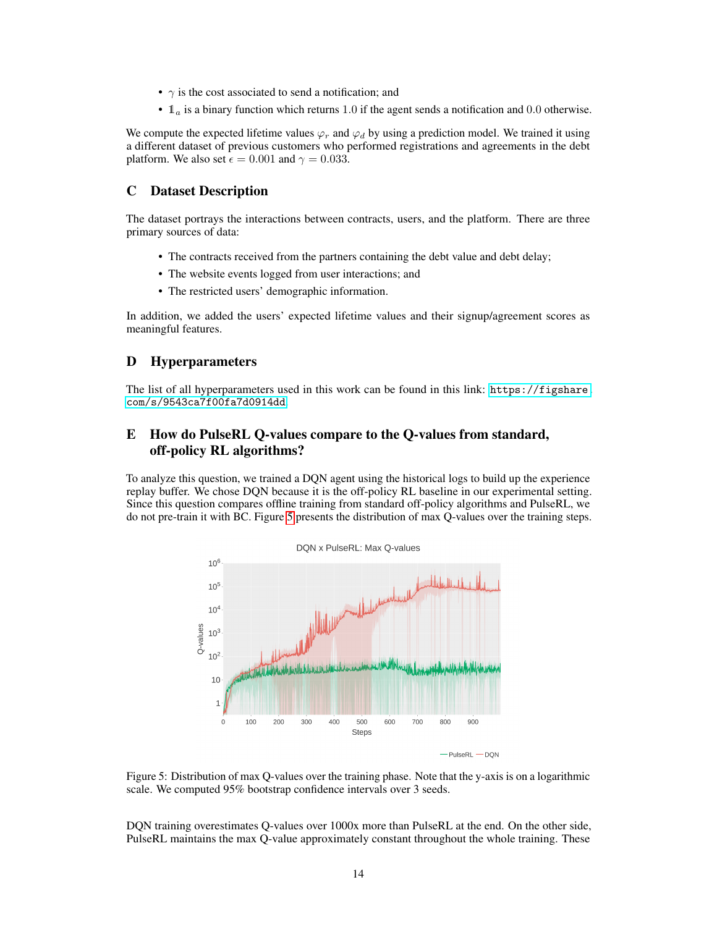- $\gamma$  is the cost associated to send a notification; and
- $\mathbb{1}_a$  is a binary function which returns 1.0 if the agent sends a notification and 0.0 otherwise.

We compute the expected lifetime values  $\varphi_r$  and  $\varphi_d$  by using a prediction model. We trained it using a different dataset of previous customers who performed registrations and agreements in the debt platform. We also set  $\epsilon = 0.001$  and  $\gamma = 0.033$ .

# C Dataset Description

The dataset portrays the interactions between contracts, users, and the platform. There are three primary sources of data:

- The contracts received from the partners containing the debt value and debt delay;
- The website events logged from user interactions; and
- The restricted users' demographic information.

In addition, we added the users' expected lifetime values and their signup/agreement scores as meaningful features.

# D Hyperparameters

The list of all hyperparameters used in this work can be found in this link: [https://figshare.](https://figshare.com/s/9543ca7f00fa7d0914dd) [com/s/9543ca7f00fa7d0914dd](https://figshare.com/s/9543ca7f00fa7d0914dd).

# <span id="page-13-0"></span>E How do PulseRL Q-values compare to the Q-values from standard, off-policy RL algorithms?

To analyze this question, we trained a DQN agent using the historical logs to build up the experience replay buffer. We chose DQN because it is the off-policy RL baseline in our experimental setting. Since this question compares offline training from standard off-policy algorithms and PulseRL, we do not pre-train it with BC. Figure [5](#page-13-1) presents the distribution of max Q-values over the training steps.

<span id="page-13-1"></span>



DQN training overestimates Q-values over 1000x more than PulseRL at the end. On the other side, PulseRL maintains the max Q-value approximately constant throughout the whole training. These